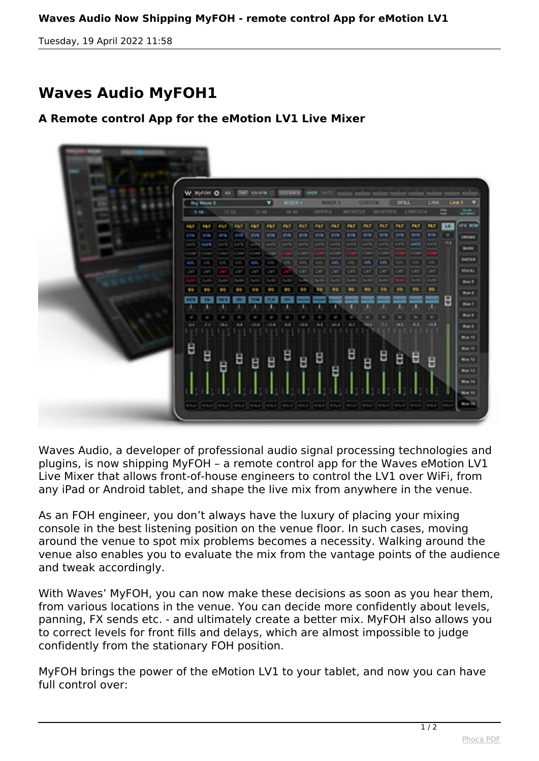## **Waves Audio Now Shipping MyFOH - remote control App for eMotion LV1**

*Tuesday, 19 April 2022 11:58*

## **Waves Audio MyFOH1**

## **A Remote control App for the eMotion LV1 Live Mixer**



*Waves Audio, a developer of professional audio signal processing technologies and plugins, is now shipping MyFOH – a remote control app for the Waves eMotion LV1 Live Mixer that allows front-of-house engineers to control the LV1 over WiFi, from any iPad or Android tablet, and shape the live mix from anywhere in the venue.*

*As an FOH engineer, you don't always have the luxury of placing your mixing console in the best listening position on the venue floor. In such cases, moving around the venue to spot mix problems becomes a necessity. Walking around the venue also enables you to evaluate the mix from the vantage points of the audience and tweak accordingly.*

*With Waves' MyFOH, you can now make these decisions as soon as you hear them, from various locations in the venue. You can decide more confidently about levels, panning, FX sends etc. - and ultimately create a better mix. MyFOH also allows you to correct levels for front fills and delays, which are almost impossible to judge confidently from the stationary FOH position.*

*MyFOH brings the power of the eMotion LV1 to your tablet, and now you can have full control over:*